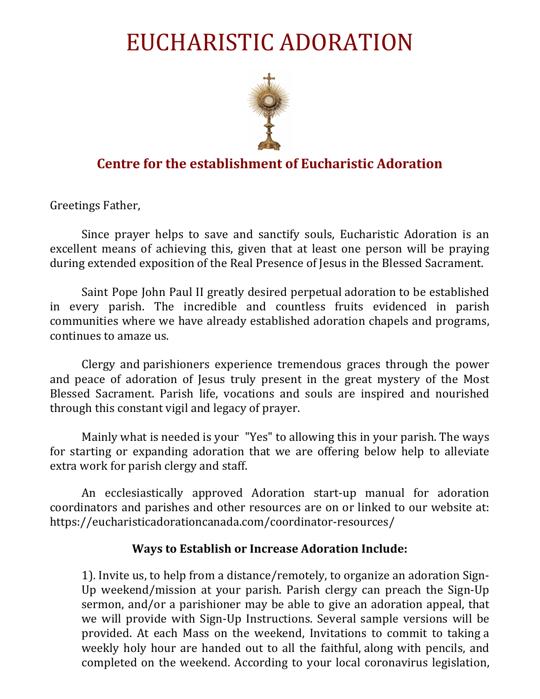# EUCHARISTIC ADORATION



# **Centre for the establishment of Eucharistic Adoration**

Greetings Father,

Since prayer helps to save and sanctify souls, Eucharistic Adoration is an excellent means of achieving this, given that at least one person will be praying during extended exposition of the Real Presence of Jesus in the Blessed Sacrament.

Saint Pope John Paul II greatly desired perpetual adoration to be established in every parish. The incredible and countless fruits evidenced in parish communities where we have already established adoration chapels and programs, continues to amaze us.

Clergy and parishioners experience tremendous graces through the power and peace of adoration of Jesus truly present in the great mystery of the Most Blessed Sacrament. Parish life, vocations and souls are inspired and nourished through this constant vigil and legacy of prayer.

Mainly what is needed is your "Yes" to allowing this in your parish. The ways for starting or expanding adoration that we are offering below help to alleviate extra work for parish clergy and staff.

An ecclesiastically approved Adoration start-up manual for adoration coordinators and parishes and other resources are on or linked to our website at: https://eucharisticadorationcanada.com/coordinator-resources/

#### **Ways to Establish or Increase Adoration Include:**

1). Invite us, to help from a distance/remotely, to organize an adoration Sign-Up weekend/mission at your parish. Parish clergy can preach the Sign-Up sermon, and/or a parishioner may be able to give an adoration appeal, that we will provide with Sign-Up Instructions. Several sample versions will be provided. At each Mass on the weekend, Invitations to commit to taking a weekly holy hour are handed out to all the faithful, along with pencils, and completed on the weekend. According to your local coronavirus legislation,